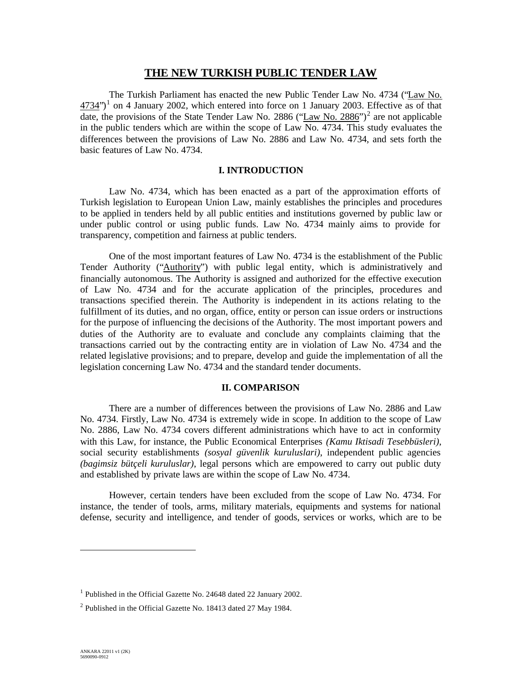# **THE NEW TURKISH PUBLIC TENDER LAW**

The Turkish Parliament has enacted the new Public Tender Law No. 4734 ("Law No.  $4734$ ")<sup>1</sup> on 4 January 2002, which entered into force on 1 January 2003. Effective as of that date, the provisions of the State Tender Law No. 2886 ("Law No. 2886")<sup>2</sup> are not applicable in the public tenders which are within the scope of Law No. 4734. This study evaluates the differences between the provisions of Law No. 2886 and Law No. 4734, and sets forth the basic features of Law No. 4734.

#### **I. INTRODUCTION**

Law No. 4734, which has been enacted as a part of the approximation efforts of Turkish legislation to European Union Law, mainly establishes the principles and procedures to be applied in tenders held by all public entities and institutions governed by public law or under public control or using public funds. Law No. 4734 mainly aims to provide for transparency, competition and fairness at public tenders.

One of the most important features of Law No. 4734 is the establishment of the Public Tender Authority ("Authority") with public legal entity, which is administratively and financially autonomous. The Authority is assigned and authorized for the effective execution of Law No. 4734 and for the accurate application of the principles, procedures and transactions specified therein. The Authority is independent in its actions relating to the fulfillment of its duties, and no organ, office, entity or person can issue orders or instructions for the purpose of influencing the decisions of the Authority. The most important powers and duties of the Authority are to evaluate and conclude any complaints claiming that the transactions carried out by the contracting entity are in violation of Law No. 4734 and the related legislative provisions; and to prepare, develop and guide the implementation of all the legislation concerning Law No. 4734 and the standard tender documents.

#### **II. COMPARISON**

There are a number of differences between the provisions of Law No. 2886 and Law No. 4734. Firstly, Law No. 4734 is extremely wide in scope. In addition to the scope of Law No. 2886, Law No. 4734 covers different administrations which have to act in conformity with this Law, for instance, the Public Economical Enterprises *(Kamu Iktisadi Tesebbüsleri)*, social security establishments *(sosyal güvenlik kuruluslari)*, independent public agencies *(bagimsiz bütçeli kuruluslar)*, legal persons which are empowered to carry out public duty and established by private laws are within the scope of Law No. 4734.

However, certain tenders have been excluded from the scope of Law No. 4734. For instance, the tender of tools, arms, military materials, equipments and systems for national defense, security and intelligence, and tender of goods, services or works, which are to be

<sup>&</sup>lt;sup>1</sup> Published in the Official Gazette No. 24648 dated 22 January 2002.

 $2$  Published in the Official Gazette No. 18413 dated 27 May 1984.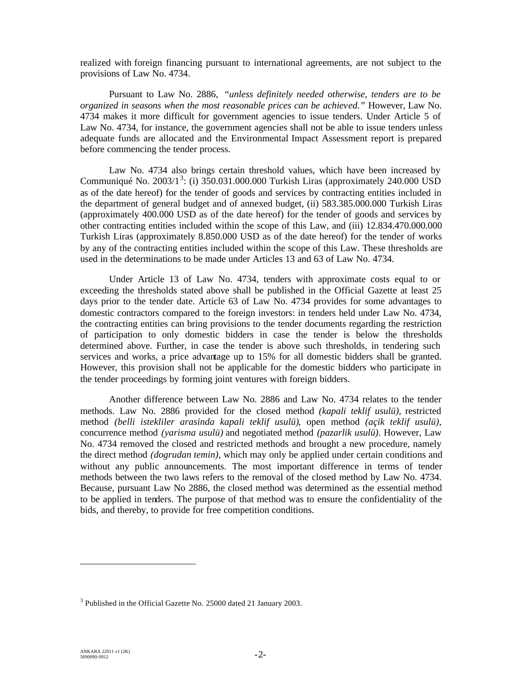realized with foreign financing pursuant to international agreements, are not subject to the provisions of Law No. 4734.

Pursuant to Law No. 2886, *"unless definitely needed otherwise, tenders are to be organized in seasons when the most reasonable prices can be achieved."* However, Law No. 4734 makes it more difficult for government agencies to issue tenders. Under Article 5 of Law No. 4734, for instance, the government agencies shall not be able to issue tenders unless adequate funds are allocated and the Environmental Impact Assessment report is prepared before commencing the tender process.

Law No. 4734 also brings certain threshold values, which have been increased by Communiqué No. 2003/1<sup>3</sup>: (i) 350.031.000.000 Turkish Liras (approximately 240.000 USD as of the date hereof) for the tender of goods and services by contracting entities included in the department of general budget and of annexed budget, (ii) 583.385.000.000 Turkish Liras (approximately 400.000 USD as of the date hereof) for the tender of goods and services by other contracting entities included within the scope of this Law, and (iii) 12.834.470.000.000 Turkish Liras (approximately 8.850.000 USD as of the date hereof) for the tender of works by any of the contracting entities included within the scope of this Law. These thresholds are used in the determinations to be made under Articles 13 and 63 of Law No. 4734.

Under Article 13 of Law No. 4734, tenders with approximate costs equal to or exceeding the thresholds stated above shall be published in the Official Gazette at least 25 days prior to the tender date. Article 63 of Law No. 4734 provides for some advantages to domestic contractors compared to the foreign investors: in tenders held under Law No. 4734, the contracting entities can bring provisions to the tender documents regarding the restriction of participation to only domestic bidders in case the tender is below the thresholds determined above. Further, in case the tender is above such thresholds, in tendering such services and works, a price advantage up to 15% for all domestic bidders shall be granted. However, this provision shall not be applicable for the domestic bidders who participate in the tender proceedings by forming joint ventures with foreign bidders.

Another difference between Law No. 2886 and Law No. 4734 relates to the tender methods. Law No. 2886 provided for the closed method *(kapali teklif usulü)*, restricted method *(belli istekliler arasinda kapali teklif usulü)*, open method *(açik teklif usulü)*, concurrence method *(yarisma usulü)* and negotiated method *(pazarlik usulü)*. However, Law No. 4734 removed the closed and restricted methods and brought a new procedure, namely the direct method *(dogrudan temin)*, which may only be applied under certain conditions and without any public announcements. The most important difference in terms of tender methods between the two laws refers to the removal of the closed method by Law No. 4734. Because, pursuant Law No 2886, the closed method was determined as the essential method to be applied in tenders. The purpose of that method was to ensure the confidentiality of the bids, and thereby, to provide for free competition conditions.

<sup>&</sup>lt;sup>3</sup> Published in the Official Gazette No. 25000 dated 21 January 2003.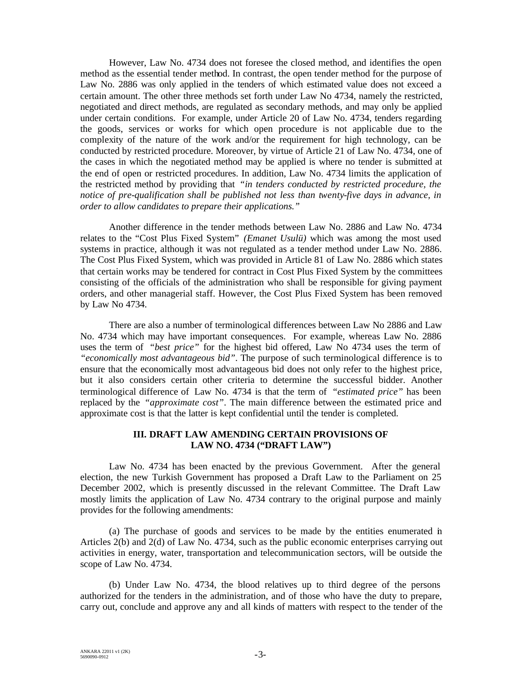However, Law No. 4734 does not foresee the closed method, and identifies the open method as the essential tender method. In contrast, the open tender method for the purpose of Law No. 2886 was only applied in the tenders of which estimated value does not exceed a certain amount. The other three methods set forth under Law No 4734, namely the restricted, negotiated and direct methods, are regulated as secondary methods, and may only be applied under certain conditions. For example, under Article 20 of Law No. 4734, tenders regarding the goods, services or works for which open procedure is not applicable due to the complexity of the nature of the work and/or the requirement for high technology, can be conducted by restricted procedure. Moreover, by virtue of Article 21 of Law No. 4734, one of the cases in which the negotiated method may be applied is where no tender is submitted at the end of open or restricted procedures. In addition, Law No. 4734 limits the application of the restricted method by providing that *"in tenders conducted by restricted procedure, the notice of pre-qualification shall be published not less than twenty-five days in advance, in order to allow candidates to prepare their applications."*

Another difference in the tender methods between Law No. 2886 and Law No. 4734 relates to the "Cost Plus Fixed System" *(Emanet Usulü)* which was among the most used systems in practice, although it was not regulated as a tender method under Law No. 2886. The Cost Plus Fixed System, which was provided in Article 81 of Law No. 2886 which states that certain works may be tendered for contract in Cost Plus Fixed System by the committees consisting of the officials of the administration who shall be responsible for giving payment orders, and other managerial staff. However, the Cost Plus Fixed System has been removed by Law No 4734.

There are also a number of terminological differences between Law No 2886 and Law No. 4734 which may have important consequences. For example, whereas Law No. 2886 uses the term of *"best price"* for the highest bid offered, Law No 4734 uses the term of *"economically most advantageous bid"*. The purpose of such terminological difference is to ensure that the economically most advantageous bid does not only refer to the highest price, but it also considers certain other criteria to determine the successful bidder. Another terminological difference of Law No. 4734 is that the term of *"estimated price"* has been replaced by the *"approximate cost"*. The main difference between the estimated price and approximate cost is that the latter is kept confidential until the tender is completed.

### **III. DRAFT LAW AMENDING CERTAIN PROVISIONS OF LAW NO. 4734 ("DRAFT LAW")**

Law No. 4734 has been enacted by the previous Government. After the general election, the new Turkish Government has proposed a Draft Law to the Parliament on 25 December 2002, which is presently discussed in the relevant Committee. The Draft Law mostly limits the application of Law No. 4734 contrary to the original purpose and mainly provides for the following amendments:

(a) The purchase of goods and services to be made by the entities enumerated in Articles 2(b) and 2(d) of Law No. 4734, such as the public economic enterprises carrying out activities in energy, water, transportation and telecommunication sectors, will be outside the scope of Law No. 4734.

(b) Under Law No. 4734, the blood relatives up to third degree of the persons authorized for the tenders in the administration, and of those who have the duty to prepare, carry out, conclude and approve any and all kinds of matters with respect to the tender of the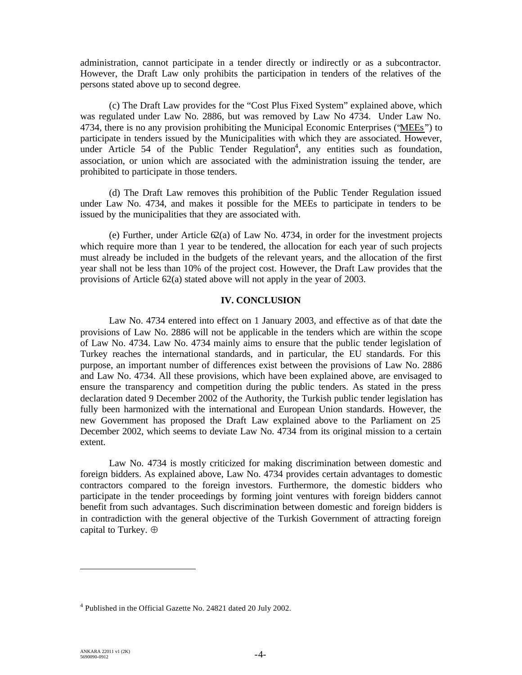administration, cannot participate in a tender directly or indirectly or as a subcontractor. However, the Draft Law only prohibits the participation in tenders of the relatives of the persons stated above up to second degree.

(c) The Draft Law provides for the "Cost Plus Fixed System" explained above, which was regulated under Law No. 2886, but was removed by Law No 4734. Under Law No. 4734, there is no any provision prohibiting the Municipal Economic Enterprises ("MEEs") to participate in tenders issued by the Municipalities with which they are associated. However, under Article 54 of the Public Tender Regulation<sup>4</sup>, any entities such as foundation, association, or union which are associated with the administration issuing the tender, are prohibited to participate in those tenders.

(d) The Draft Law removes this prohibition of the Public Tender Regulation issued under Law No. 4734, and makes it possible for the MEEs to participate in tenders to be issued by the municipalities that they are associated with.

(e) Further, under Article 62(a) of Law No. 4734, in order for the investment projects which require more than 1 year to be tendered, the allocation for each year of such projects must already be included in the budgets of the relevant years, and the allocation of the first year shall not be less than 10% of the project cost. However, the Draft Law provides that the provisions of Article 62(a) stated above will not apply in the year of 2003.

## **IV. CONCLUSION**

Law No. 4734 entered into effect on 1 January 2003, and effective as of that date the provisions of Law No. 2886 will not be applicable in the tenders which are within the scope of Law No. 4734. Law No. 4734 mainly aims to ensure that the public tender legislation of Turkey reaches the international standards, and in particular, the EU standards. For this purpose, an important number of differences exist between the provisions of Law No. 2886 and Law No. 4734. All these provisions, which have been explained above, are envisaged to ensure the transparency and competition during the public tenders. As stated in the press declaration dated 9 December 2002 of the Authority, the Turkish public tender legislation has fully been harmonized with the international and European Union standards. However, the new Government has proposed the Draft Law explained above to the Parliament on 25 December 2002, which seems to deviate Law No. 4734 from its original mission to a certain extent.

Law No. 4734 is mostly criticized for making discrimination between domestic and foreign bidders. As explained above, Law No. 4734 provides certain advantages to domestic contractors compared to the foreign investors. Furthermore, the domestic bidders who participate in the tender proceedings by forming joint ventures with foreign bidders cannot benefit from such advantages. Such discrimination between domestic and foreign bidders is in contradiction with the general objective of the Turkish Government of attracting foreign capital to Turkey.

<sup>&</sup>lt;sup>4</sup> Published in the Official Gazette No. 24821 dated 20 July 2002.